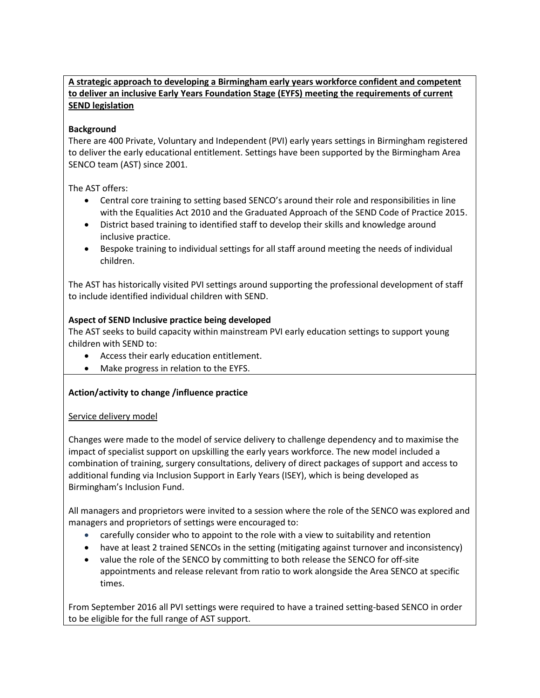## **A strategic approach to developing a Birmingham early years workforce confident and competent to deliver an inclusive Early Years Foundation Stage (EYFS) meeting the requirements of current SEND legislation**

## **Background**

There are 400 Private, Voluntary and Independent (PVI) early years settings in Birmingham registered to deliver the early educational entitlement. Settings have been supported by the Birmingham Area SENCO team (AST) since 2001.

The AST offers:

- Central core training to setting based SENCO's around their role and responsibilities in line with the Equalities Act 2010 and the Graduated Approach of the SEND Code of Practice 2015.
- District based training to identified staff to develop their skills and knowledge around inclusive practice.
- Bespoke training to individual settings for all staff around meeting the needs of individual children.

The AST has historically visited PVI settings around supporting the professional development of staff to include identified individual children with SEND.

## **Aspect of SEND Inclusive practice being developed**

The AST seeks to build capacity within mainstream PVI early education settings to support young children with SEND to:

- Access their early education entitlement.
- Make progress in relation to the EYFS.

## **Action/activity to change /influence practice**

### Service delivery model

Changes were made to the model of service delivery to challenge dependency and to maximise the impact of specialist support on upskilling the early years workforce. The new model included a combination of training, surgery consultations, delivery of direct packages of support and access to additional funding via Inclusion Support in Early Years (ISEY), which is being developed as Birmingham's Inclusion Fund.

All managers and proprietors were invited to a session where the role of the SENCO was explored and managers and proprietors of settings were encouraged to:

- carefully consider who to appoint to the role with a view to suitability and retention
- have at least 2 trained SENCOs in the setting (mitigating against turnover and inconsistency)
- value the role of the SENCO by committing to both release the SENCO for off-site appointments and release relevant from ratio to work alongside the Area SENCO at specific times.

From September 2016 all PVI settings were required to have a trained setting-based SENCO in order to be eligible for the full range of AST support.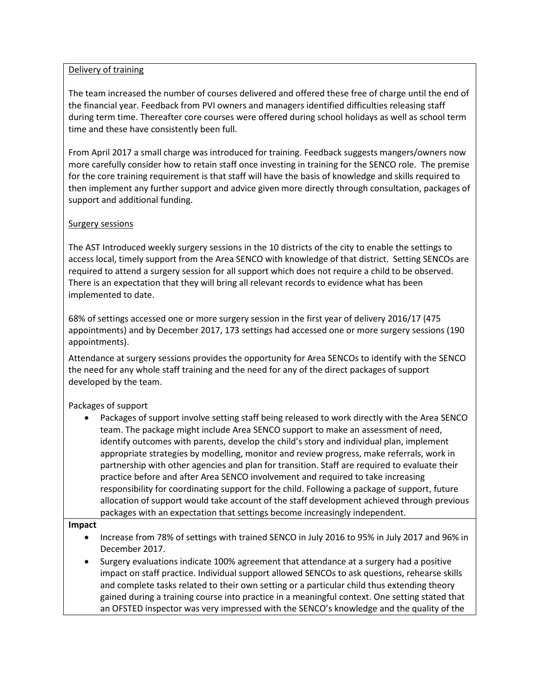#### Delivery of training

The team increased the number of courses delivered and offered these free of charge until the end of the financial year. Feedback from PVI owners and managers identified difficulties releasing staff during term time. Thereafter core courses were offered during school holidays as well as school term time and these have consistently been full.

From April 2017 a small charge was introduced for training. Feedback suggests mangers/owners now more carefully consider how to retain staff once investing in training for the SENCO role. The premise for the core training requirement is that staff will have the basis of knowledge and skills required to then implement any further support and advice given more directly through consultation, packages of support and additional funding.

### Surgery sessions

The AST Introduced weekly surgery sessions in the 10 districts of the city to enable the settings to access local, timely support from the Area SENCO with knowledge of that district. Setting SENCOs are required to attend a surgery session for all support which does not require a child to be observed. There is an expectation that they will bring all relevant records to evidence what has been implemented to date.

68% of settings accessed one or more surgery session in the first year of delivery 2016/17 (475 appointments) and by December 2017, 173 settings had accessed one or more surgery sessions (190 appointments).

Attendance at surgery sessions provides the opportunity for Area SENCOs to identify with the SENCO the need for any whole staff training and the need for any of the direct packages of support developed by the team.

Packages of support

 Packages of support involve setting staff being released to work directly with the Area SENCO team. The package might include Area SENCO support to make an assessment of need, identify outcomes with parents, develop the child's story and individual plan, implement appropriate strategies by modelling, monitor and review progress, make referrals, work in partnership with other agencies and plan for transition. Staff are required to evaluate their practice before and after Area SENCO involvement and required to take increasing responsibility for coordinating support for the child. Following a package of support, future allocation of support would take account of the staff development achieved through previous packages with an expectation that settings become increasingly independent.

#### **Impact**

- Increase from 78% of settings with trained SENCO in July 2016 to 95% in July 2017 and 96% in December 2017.
- Surgery evaluations indicate 100% agreement that attendance at a surgery had a positive impact on staff practice. Individual support allowed SENCOs to ask questions, rehearse skills and complete tasks related to their own setting or a particular child thus extending theory gained during a training course into practice in a meaningful context. One setting stated that an OFSTED inspector was very impressed with the SENCO's knowledge and the quality of the